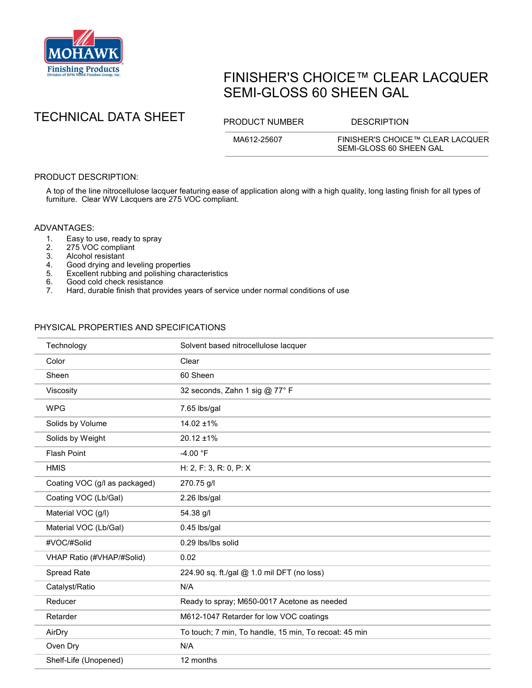

# FINISHER'S CHOICE™ CLEAR LACQUER SEMI-GLOSS 60 SHEEN GAL



MA612-25607 FINISHER'S CHOICE™ CLEAR LACQUER SEMI-GLOSS 60 SHEEN GAL

## PRODUCT DESCRIPTION:

A top of the line nitrocellulose lacquer featuring ease of application along with a high quality, long lasting finish for all types of furniture. Clear WW Lacquers are 275 VOC compliant.

#### ADVANTAGES:

- 1. Easy to use, ready to spray<br>2. 275 VOC compliant
- 2. 275 VOC compliant<br>3. Alcohol resistant
- Alcohol resistant
- 4. Good drying and leveling properties<br>5. Excellent rubbing and polishing char
- 5. Excellent rubbing and polishing characteristics
- 6. Good cold check resistance<br>7. Hard. durable finish that prov
- Hard, durable finish that provides years of service under normal conditions of use

### PHYSICAL PROPERTIES AND SPECIFICATIONS

| Technology                    | Solvent based nitrocellulose lacquer                  |
|-------------------------------|-------------------------------------------------------|
| Color                         | Clear                                                 |
| Sheen                         | 60 Sheen                                              |
| Viscosity                     | 32 seconds, Zahn 1 sig @ 77° F                        |
| <b>WPG</b>                    | 7.65 lbs/gal                                          |
| Solids by Volume              | 14.02 ±1%                                             |
| Solids by Weight              | $20.12 \pm 1\%$                                       |
| <b>Flash Point</b>            | $-4.00 °F$                                            |
| <b>HMIS</b>                   | H: 2, F: 3, R: 0, P: X                                |
| Coating VOC (g/l as packaged) | 270.75 g/l                                            |
| Coating VOC (Lb/Gal)          | 2.26 lbs/gal                                          |
| Material VOC (g/l)            | 54.38 g/l                                             |
| Material VOC (Lb/Gal)         | 0.45 lbs/gal                                          |
| #VOC/#Solid                   | 0.29 lbs/lbs solid                                    |
| VHAP Ratio (#VHAP/#Solid)     | 0.02                                                  |
| Spread Rate                   | 224.90 sq. ft./gal @ 1.0 mil DFT (no loss)            |
| Catalyst/Ratio                | N/A                                                   |
| Reducer                       | Ready to spray; M650-0017 Acetone as needed           |
| Retarder                      | M612-1047 Retarder for low VOC coatings               |
| AirDry                        | To touch; 7 min, To handle, 15 min, To recoat: 45 min |
| Oven Dry                      | N/A                                                   |
| Shelf-Life (Unopened)         | 12 months                                             |